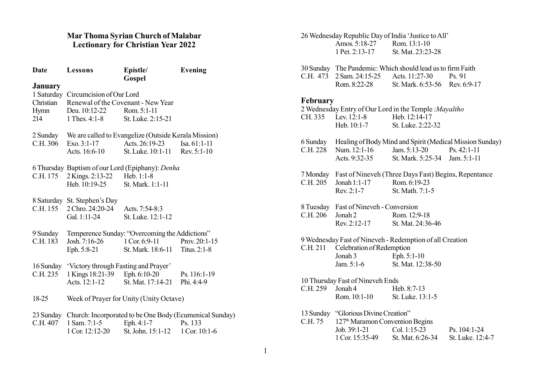## Mar Thoma Syrian Church of Malabar Lectionary for Christian Year 2022

| Date                                       | Lessons                                                                                                       | Epistle/<br>Gospel                                                                                                   | <b>Evening</b>                  |
|--------------------------------------------|---------------------------------------------------------------------------------------------------------------|----------------------------------------------------------------------------------------------------------------------|---------------------------------|
| <b>January</b><br>Christian<br>Hymn<br>214 | 1 Saturday Circumcision of Our Lord<br>Renewal of the Covenant - New Year<br>Deu. 10:12-22<br>1 Thes. $4:1-8$ | Rom. 5:1-11<br>St. Luke. 2:15-21                                                                                     |                                 |
| 2 Sunday<br>C.H. 306                       | $Exo. 3:1-17$<br>Acts. 16:6-10                                                                                | We are called to Evangelize (Outside Kerala Mission)<br>Acts. $26:19-23$<br>St. Luke. 10:1-11 Rev. 5:1-10            | $Isa. 61:1-11$                  |
| C.H. 175                                   | 2 Kings. 2:13-22<br>Heb. 10:19-25                                                                             | 6 Thursday Baptism of our Lord (Epiphany): Denha<br>Heb. $1:1-8$<br>St. Mark. 1:1-11                                 |                                 |
| C.H. 155                                   | 8 Saturday St. Stephen's Day<br>2 Chro. 24:20-24<br>Gal. 1:11-24                                              | Acts. 7:54-8:3<br>St. Luke. 12:1-12                                                                                  |                                 |
| 9 Sunday<br>C.H. 183                       | Josh. 7:16-26 1 Cor. 6:9-11<br>Eph. 5:8-21                                                                    | Temperence Sunday: "Overcoming the Addictions"<br>St. Mark. 18:6-11                                                  | Prov. $20:1-15$<br>Titus. 2:1-8 |
| 16 Sunday<br>C.H. 235                      | 'Victory through Fasting and Prayer'<br>1 Kings 18:21-39 Eph. 6:10-20                                         | Acts. 12:1-12 St. Mat. 17:14-21                                                                                      | Ps. 116:1-19<br>Phi. 4:4-9      |
| 18-25                                      |                                                                                                               | Week of Prayer for Unity (Unity Octave)                                                                              |                                 |
| C.H. 407                                   | 1 Sam. 7:1-5<br>1 Cor. 12:12-20                                                                               | 23 Sunday Church: Incorporated to be One Body (Ecumenical Sunday)<br>Eph. $4:1-7$<br>St. John. 15:1-12 1 Cor. 10:1-6 | Ps. 133                         |

26 Wednesday Republic Day of India 'Justice to All' Amos. 5:18-27<br>1 Pet. 2:13-17 St. Mat. 23:23-28

| 30 Sunday The Pandemic: Which should lead us to firm Faith |                               |  |
|------------------------------------------------------------|-------------------------------|--|
| C.H. 473 $2$ Sam. 24:15-25 Acts. 11:27-30 Ps. 91           |                               |  |
| Rom. 8:22-28                                               | St. Mark. 6:53-56 Rev. 6:9-17 |  |

# February

|                  |                                                     | 2 Wednesday Entry of Our Lord in the Temple: Mayaltho             |                  |
|------------------|-----------------------------------------------------|-------------------------------------------------------------------|------------------|
|                  | CH. 335 Lev. 12:1-8 Heb. 12:14-17                   |                                                                   |                  |
|                  | Heb. 10:1-7 St. Luke. 2:22-32                       |                                                                   |                  |
|                  |                                                     | 6 Sunday Healing of Body Mind and Spirit (Medical Mission Sunday) |                  |
|                  |                                                     | C.H. 228 Num. 12:1-16 Jam. 5:13-20 Ps. 42:1-11                    |                  |
|                  |                                                     | Acts. 9:32-35 St. Mark. 5:25-34 Jam. 5:1-11                       |                  |
|                  |                                                     | 7 Monday Fast of Nineveh (Three Days Fast) Begins, Repentance     |                  |
|                  | C.H. 205 Jonah 1:1-17 Rom. 6:19-23                  |                                                                   |                  |
|                  | Rev. 2:1-7 St. Math. 7:1-5                          |                                                                   |                  |
|                  | 8 Tuesday Fast of Nineveh - Conversion              |                                                                   |                  |
|                  | C.H. 206 Jonah 2 Rom. 12:9-18                       |                                                                   |                  |
|                  |                                                     | Rev. 2:12-17 St. Mat. 24:36-46                                    |                  |
|                  |                                                     | 9 Wednesday Fast of Nineveh - Redemption of all Creation          |                  |
|                  | C.H. 211 Celebration of Redemption                  |                                                                   |                  |
|                  | Jonah 3 Eph. 5:1-10                                 |                                                                   |                  |
|                  |                                                     | Jam. 5:1-6 St. Mat. 12:38-50                                      |                  |
|                  | 10 Thursday Fast of Nineveh Ends                    |                                                                   |                  |
| C.H. 259 Jonah 4 |                                                     | Heb. 8:7-13                                                       |                  |
|                  | Rom. 10:1-10 St. Luke. 13:1-5                       |                                                                   |                  |
|                  | 13 Sunday "Glorious Divine Creation"                |                                                                   |                  |
|                  | C.H. 75 127 <sup>th</sup> Maramon Convention Begins |                                                                   |                  |
|                  |                                                     | Job. 39:1-21 Col. 1:15-23 Ps. 104:1-24                            |                  |
|                  |                                                     | 1 Cor. 15:35-49 St. Mat. 6:26-34                                  | St. Luke. 12:4-7 |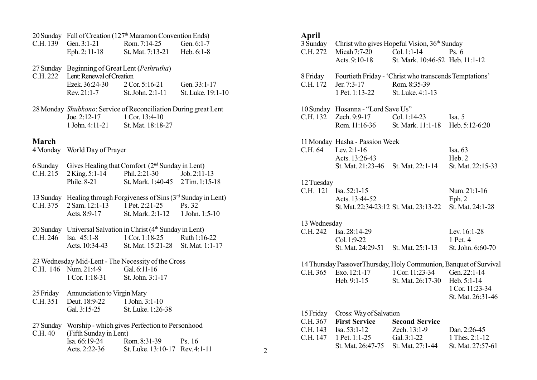|              | 20 Sunday Fall of Creation (127 <sup>th</sup> Maramon Convention Ends) |                                                             |                   |  |
|--------------|------------------------------------------------------------------------|-------------------------------------------------------------|-------------------|--|
| C.H. 139     |                                                                        | Gen. 3:1-21 Rom. 7:14-25 Gen. 6:1-7                         |                   |  |
|              | Eph. 2: 11-18                                                          | St. Mat. 7:13-21                                            | Heb. 6:1-8        |  |
|              |                                                                        |                                                             |                   |  |
| 27 Sunday    | Beginning of Great Lent (Pethrutha)                                    |                                                             |                   |  |
| C.H. 222     | Lent: Renewal of Creation                                              |                                                             |                   |  |
|              | Ezek. 36:24-30                                                         | 2 Cor. 5:16-21                                              | Gen. 33:1-17      |  |
|              | Rev. 21:1-7                                                            | St. John. 2:1-11                                            | St. Luke. 19:1-10 |  |
|              | 28 Monday Shubkono: Service of Reconciliation During great Lent        |                                                             |                   |  |
|              | Joe. $2:12-17$                                                         | 1 Cor. 13:4-10                                              |                   |  |
|              | 1 John. 4:11-21                                                        | St. Mat. 18:18-27                                           |                   |  |
|              |                                                                        |                                                             |                   |  |
| <b>March</b> |                                                                        |                                                             |                   |  |
|              | 4 Monday World Day of Prayer                                           |                                                             |                   |  |
| 6 Sunday     |                                                                        | Gives Healing that Comfort (2 <sup>nd</sup> Sunday in Lent) |                   |  |
| C.H. 215     |                                                                        | 2 King. 5:1-14 Phil. 2:21-30 Job. 2:11-13                   |                   |  |
|              | Phile. 8-21                                                            | St. Mark. 1:40-45 2 Tim. 1:15-18                            |                   |  |
|              |                                                                        |                                                             |                   |  |
| 13 Sunday    |                                                                        | Healing through Forgiveness of Sins (3rd Sunday in Lent)    |                   |  |
| C.H. 375     | 2 Sam. 12:1-13 1 Pet. 2:21-25                                          |                                                             | Ps. 32            |  |
|              | Acts. 8:9-17                                                           | St. Mark. 2:1-12 1 John. 1:5-10                             |                   |  |
| 20 Sunday    |                                                                        | Universal Salvation in Christ (4th Sunday in Lent)          |                   |  |
| C.H. 246     | Isa. 45:1-8                                                            | 1 Cor. 1:18-25 Ruth 1:16-22                                 |                   |  |
|              | Acts. 10:34-43                                                         | St. Mat. 15:21-28 St. Mat. 1:1-17                           |                   |  |
|              |                                                                        |                                                             |                   |  |
|              | 23 Wednesday Mid-Lent - The Necessity of the Cross                     |                                                             |                   |  |
|              | C.H. 146 Num. 21:4-9                                                   | Gal. 6:11-16                                                |                   |  |
|              | 1 Cor. 1:18-31                                                         | St. John. 3:1-17                                            |                   |  |
| 25 Friday    | Annunciation to Virgin Mary                                            |                                                             |                   |  |
| C.H. 351     | Deut. 18:9-22 1 John. 3:1-10                                           |                                                             |                   |  |
|              | Gal. 3:15-25                                                           | St. Luke. 1:26-38                                           |                   |  |
|              |                                                                        |                                                             |                   |  |
| 27 Sunday    |                                                                        | Worship - which gives Perfection to Personhood              |                   |  |
| C.H. 40      | (Fifth Sunday in Lent)                                                 |                                                             |                   |  |
|              | Isa. 66:19-24                                                          | Rom. 8:31-39                                                | Ps. 16            |  |
|              | Acts. 2:22-36                                                          | St. Luke. 13:10-17                                          | Rev. 4:1-11       |  |

| Aprıı<br>3 Sunday<br>C.H. 272                 | Micah 7:7-20<br>Acts. 9:10-18                                                                                              | Christ who gives Hopeful Vision, 36 <sup>th</sup> Sunday<br>Col. 1:1-14<br>St. Mark. 10:46-52 Heb. 11:1-12 | Ps.6                                                                |
|-----------------------------------------------|----------------------------------------------------------------------------------------------------------------------------|------------------------------------------------------------------------------------------------------------|---------------------------------------------------------------------|
| 8 Friday<br>C.H. 172                          | Jer. 7:3-17<br>1 Pet. 1:13-22                                                                                              | Fourtieth Friday - 'Christ who transcends Temptations'<br>Rom. 8:35-39<br>St. Luke. 4:1-13                 |                                                                     |
| C.H. 132                                      | 10 Sunday Hosanna - "Lord Save Us"<br>Zech. 9:9-17                                                                         | Col. 1:14-23<br>Rom. 11:16-36 St. Mark. 11:1-18                                                            | Isa. 5<br>Heb. 5:12-6:20                                            |
|                                               | 11 Monday Hasha - Passion Week<br>C.H. 64 Lev. 2:1-16<br>Acts. 13:26-43<br>St. Mat. 21:23-46                               | St. Mat. 22:1-14                                                                                           | Isa. 63<br>Heb. 2<br>St. Mat. 22:15-33                              |
| 12 Tuesday                                    | C.H. 121 Isa. 52:1-15<br>Acts. 13:44-52<br>St. Mat. 22:34-23:12 St. Mat. 23:13-22                                          |                                                                                                            | Num. 21:1-16<br>Eph.2<br>St. Mat. 24:1-28                           |
| 13 Wednesday<br>C.H. 242                      | Isa. 28:14-29<br>Col. 1:9-22<br>St. Mat. 24:29-51                                                                          | St. Mat. 25:1-13                                                                                           | Lev. 16:1-28<br>1 Pet. 4<br>St. John. 6:60-70                       |
|                                               | 14 Thursday Passover Thursday, Holy Communion, Banquet of Survival<br>C.H. 365 Exo. 12:1-17 1 Cor. 11:23-34<br>Heb. 9:1-15 | St. Mat. 26:17-30                                                                                          | Gen. 22:1-14<br>Heb. 5:1-14<br>1 Cor. 11:23-34<br>St. Mat. 26:31-46 |
| 15 Friday<br>C.H. 367<br>C.H. 143<br>C.H. 147 | Cross: Way of Salvation<br><b>First Service</b><br>Isa. $53:1-12$<br>1 Pet. 1:1-25<br>St. Mat. 26:47-75                    | <b>Second Service</b><br>Zech. 13:1-9<br>Gal. 3:1-22<br>St. Mat. 27:1-44                                   | Dan. 2:26-45<br>1 Thes. 2:1-12<br>St. Mat. 27:57-61                 |

2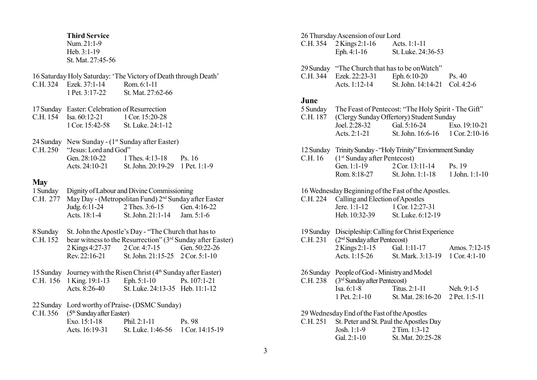#### Third Service

Num. 21:1-9 Heb. 3:1-19 St. Mat. 27:45-56

- 16 Saturday Holy Saturday: 'The Victory of Death through Death' C.H. 324 Ezek. 37:1-14 Rom. 6:1-11<br>1 Pet. 3:17-22 St. Mat. 27:6 St. Mat. 27:62-66
- 17 Sunday Easter: Celebration of Resurrection<br>C.H. 154 Isa. 60:12-21 1 Cor. 15:20-28 C.H.  $154$  Isa.  $60:12-21$ <br>1 Cor.  $15:42-58$ St. Luke. 24:1-12.
- 24 Sunday New Sunday  $(1^{st}$  Sunday after Easter)  $C.H. 250$  "Jesus: Lord and God"<br>Gen  $28:10-22$  1 Gen. 28:10-22 1 Thes. 4:13-18 Ps. 16<br>Acts. 24:10-21 St. John. 20:19-29 1 Pet. 1 St. John. 20:19-29 1 Pet. 1:1-9

## **May**

- 1 Sunday Dignity of Labour and Divine Commissioning
- C.H. 277 May Day (Metropolitan Fund)  $2^{nd}$  Sunday after Easter<br>Judg. 6:11-24 2 Thes. 3:6-15 Gen. 4:16-22 Judg. 6:11-24 2 Thes. 3:6-15<br>Acts. 18:1-4 St. John. 21:1-1 St. John.  $21:1-14$  Jam.  $5:1-6$
- 8 Sunday St. John the Apostle's Day "The Church that has to
- C.H. 152 bear witness to the Resurrection" ( $3<sup>rd</sup>$  Sunday after Easter)<br>2 Kings 4:27-37 2 Cor. 4:7-15 Gen. 50:22-26 2 Kings 4:27-37 2 Cor. 4:7-15<br>Rev. 22:16-21 St. John. 21:1 St. John.  $21:15-25$  2 Cor. 5:1-10
- 15 Sunday Journey with the Risen Christ  $(4<sup>th</sup>$  Sunday after Easter)

|  | C.H. 156 1 King. 19:1-13 | Eph. $5:1-10$                   | Ps. $107:1-21$ |
|--|--------------------------|---------------------------------|----------------|
|  | Acts. 8:26-40            | St. Luke. 24:13-35 Heb. 11:1-12 |                |

- 22 Sunday Lord worthy of Praise- (DSMC Sunday)
- C.H.  $356$  ( $5<sup>th</sup>$  Sunday after Easter)

| Exo. 15:1-18   | Phil. $2:1-11$                    | Ps. 98 |
|----------------|-----------------------------------|--------|
| Acts. 16:19-31 | St. Luke. 1:46-56 1 Cor. 14:15-19 |        |

#### 26 Thursday Ascension of our Lord

- C.H. 354 2 Kings 2:1-16 Acts. 1:1-11<br>Fig. 4:1-16 St. Luke. 24: St. Luke. 24:36-53
- 29 Sunday "The Church that has to be on Watch"<br>C.H. 344 Ezek. 22:23-31 Eph. 6:10-20 C.H. 344 Ezek. 22:23-31 Eph. 6:10-20 Ps. 40<br>Acts. 1:12-14 St. John. 14:14-21 Col. 4:
- St. John. 14:14-21 Col. 4:2-6

#### June

| 5 Sunday<br>C.H. 187 |               | The Feast of Pentecost: "The Holy Spirit - The Gift"<br>(Clergy Sunday Offertory) Student Sunday |                          |
|----------------------|---------------|--------------------------------------------------------------------------------------------------|--------------------------|
|                      | Joel. 2:28-32 | Gal. 5:16-24                                                                                     | Exo. 19:10-21            |
|                      | Acts. 2:1-21  | St. John. 16:6-16                                                                                | $1 \text{Cor. } 2:10-16$ |

- 12 Sunday Trinity Sunday "Holy Trinity" Enviornment Sunday C.H. 16  $(1<sup>st</sup> Sunday after Pentecost)$ <br>Gen. 1:1-19 2 Cor. 13 2 Cor. 13:11-14 Ps. 19 Rom. 8:18-27 St. John. 1:1-18 1 John. 1:1-10
- 16 Wednesday Beginning of the Fast of the Apostles.
- C.H. 224 Calling and Election of Apostles<br>Jere. 1:1-12 1 Cor. 12:27 Jere. 1:1-12 1 Cor. 12:27-31<br>Heb. 10:32-39 St. Luke. 6:12-1 St. Luke. 6:12-19
- 19 Sunday Discipleship: Calling for Christ Experience
- C.H. 231 (2<sup>nd</sup> Sunday after Pentecost) 2 Kings 2:1-15 Gal. 1:11-17 Amos. 7:12-15<br>Acts. 1:15-26 St. Mark. 3:13-19 1 Cor. 4:1-10 St. Mark.  $3:13-19$  1 Cor.  $4:1-10$
- 26 Sunday People of God Ministry and Model
- C.H. 238  $(3<sup>rd</sup> Sunday after Pentecost)$ <br>Isa. 6:1-8 Titus. Titus. 2:1-11 Neh. 9:1-5 1 Pet. 2:1-10 St. Mat. 28:16-20 2 Pet. 1:5-11
- 29 Wednesday End of the Fast of the Apostles

C.H. 251 St. Peter and St. Paul the Apostles Day Josh. 1:1-9 2 Tim. 1:3-12 Gal. 2:1-10 St. Mat. 20:25-28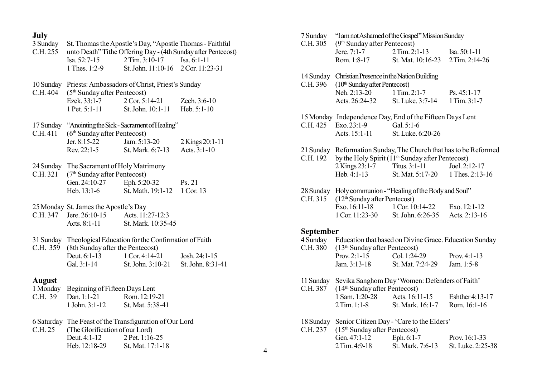# July

| 3 Sunday<br>C.H. 255  | St. Thomas the Apostle's Day, "Apostle Thomas - Faithful<br>unto Death" Tithe Offering Day - (4th Sunday after Pentecost) |                                                 |                   |
|-----------------------|---------------------------------------------------------------------------------------------------------------------------|-------------------------------------------------|-------------------|
|                       | Isa. $52:7-15$                                                                                                            | 2 Tim. 3:10-17 Isa. 6:1-11                      |                   |
|                       | 1 Thes. 1:2-9                                                                                                             | St. John. 11:10-16                              | 2 Cor. 11:23-31   |
| 10 Sunday<br>C.H. 404 | $(5th$ Sunday after Pentecost)                                                                                            | Priests: Ambassadors of Christ, Priest's Sunday |                   |
|                       | Ezek. 33:1-7                                                                                                              | 2 Cor. 5:14-21                                  | Zech. 3:6-10      |
|                       | 1 Pet. 5:1-11                                                                                                             | St. John. 10:1-11                               | Heb. 5:1-10       |
| 17 Sunday<br>C.H. 411 | (6 <sup>th</sup> Sunday after Pentecost)                                                                                  | "Anointing the Sick - Sacrament of Healing"     |                   |
|                       | Jer. 8:15-22                                                                                                              | Jam. 5:13-20                                    | 2 Kings 20:1-11   |
|                       | Rev. 22:1-5                                                                                                               | St. Mark. 6:7-13                                | Acts. 3:1-10      |
| 24 Sunday<br>C.H. 321 | The Sacrament of Holy Matrimony<br>(7 <sup>th</sup> Sunday after Pentecost)                                               |                                                 |                   |
|                       | Gen. 24:10-27                                                                                                             | Eph. 5:20-32                                    | Ps. 21            |
|                       | Heb. 13:1-6                                                                                                               | St. Math. 19:1-12                               | 1 Cor. 13         |
|                       | 25 Monday St. James the Apostle's Day                                                                                     |                                                 |                   |
| C.H. 347              | Jere. 26:10-15 Acts. 11:27-12:3                                                                                           |                                                 |                   |
|                       | Acts. 8:1-11                                                                                                              | St. Mark. 10:35-45                              |                   |
| 31 Sunday<br>C.H. 359 | Theological Education for the Confirmation of Faith<br>(8th Sunday after the Pentecost)                                   |                                                 |                   |
|                       | Deut. $6:1-13$                                                                                                            | 1 Cor. 4:14-21                                  | Josh. 24:1-15     |
|                       | Gal. 3:1-14                                                                                                               | St. John. 3:10-21                               | St. John. 8:31-41 |
| <b>August</b>         |                                                                                                                           |                                                 |                   |
| 1 Monday              | Beginning of Fifteen Days Lent                                                                                            |                                                 |                   |
| C.H. 39               | Dan. 1:1-21                                                                                                               | Rom. 12:19-21                                   |                   |
|                       | 1 John. 3:1-12                                                                                                            | St. Mat. 5:38-41                                |                   |
| C.H. 25               | 6 Saturday The Feast of the Transfiguration of Our Lord<br>(The Glorification of our Lord)                                |                                                 |                   |
|                       | Deut. 4:1-12                                                                                                              | 2 Pet. 1:16-25                                  |                   |
|                       | Heb. 12:18-29                                                                                                             | St. Mat. 17:1-18                                |                   |
|                       |                                                                                                                           |                                                 |                   |

| 7 Sunday<br>C.H. 305  | 'I am not Ashamed of the Gospel'' Mission Sunday<br>(9 <sup>th</sup> Sunday after Pentecost)           |                                                              |                                    |
|-----------------------|--------------------------------------------------------------------------------------------------------|--------------------------------------------------------------|------------------------------------|
|                       | Jere. $7:1-7$                                                                                          | 2 Tim. 2:1-13                                                | Isa. 50:1-11                       |
|                       | Rom. 1:8-17                                                                                            | St. Mat. 10:16-23                                            | 2 Tim. 2:14-26                     |
| C.H. 396              | 14 Sunday Christian Presence in the Nation Building<br>$(10th$ Sunday after Pentecost)<br>Neh. 2:13-20 | $1$ Tim. $2:1-7$                                             | $Ps. 45:1-17$                      |
|                       | Acts. 26:24-32                                                                                         | St. Luke. 3:7-14                                             | 1 Tim. 3:1-7                       |
| C.H. 425              | 15 Monday Independence Day, End of the Fifteen Days Lent<br>Exo. 23:1-9<br>Acts. 15:1-11               | Gal. 5:1-6<br>St. Luke. 6:20-26                              |                                    |
| C.H. 192              | 21 Sunday Reformation Sunday, The Church that has to be Reformed                                       | by the Holy Spirit (11 <sup>th</sup> Sunday after Pentecost) |                                    |
|                       | 2 Kings 23:1-7<br>$Heb. 4:1-13$                                                                        | Titus. 3:1-11<br>St. Mat. 5:17-20 1 Thes. 2:13-16            | Joel. 2:12-17                      |
| 28 Sunday<br>C.H. 315 | $(12th$ Sunday after Pentecost)                                                                        | Holy communion - "Healing of the Body and Soul"              |                                    |
|                       | Exo. 16:11-18<br>1 Cor. 11:23-30 St. John. 6:26-35                                                     | 1 Cor. 10:14-22                                              | Exo. 12:1-12<br>Acts. 2:13-16      |
| <b>September</b>      |                                                                                                        |                                                              |                                    |
| 4 Sunday<br>C.H. 380  | $(13th$ Sunday after Pentecost)                                                                        | Education that based on Divine Grace. Education Sunday       |                                    |
|                       | Prov. $2:1-15$                                                                                         | Col. 1:24-29                                                 | Prov. $4:1-13$                     |
|                       | Jam. 3:13-18                                                                                           | St. Mat. 7:24-29                                             | Jam. 1:5-8                         |
| 11 Sunday<br>C.H. 387 | (14 <sup>th</sup> Sunday after Pentecost)                                                              | Sevika Sanghom Day 'Women: Defenders of Faith'               |                                    |
|                       | 1 Sam. 1:20-28<br>$2$ Tim. 1:1-8                                                                       | Acts. 16:11-15<br>St. Mark. 16:1-7                           | Eshther 4:13-17<br>Rom. 16:1-16    |
| 18 Sunday<br>C.H. 237 | (15 <sup>th</sup> Sunday after Pentecost)                                                              | Senior Citizen Day - 'Care to the Elders'                    |                                    |
|                       | Gen. 47:1-12<br>2 Tim. 4:9-18                                                                          | Eph. 6:1-7<br>St. Mark. 7:6-13                               | Prov. 16:1-33<br>St. Luke. 2:25-38 |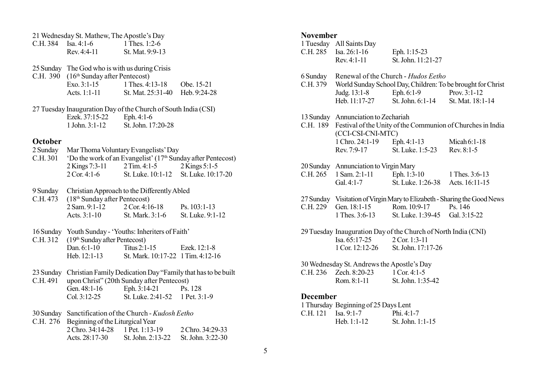|          | 21 Wednesday St. Mathew, The Apostle's Day                     |                                               |                                                                |
|----------|----------------------------------------------------------------|-----------------------------------------------|----------------------------------------------------------------|
|          | C.H. 384 Isa. 4:1-6 1 Thes. 1:2-6                              |                                               |                                                                |
|          | Rev. 4:4-11 St. Mat. 9:9-13                                    |                                               |                                                                |
|          | 25 Sunday The God who is with us during Crisis                 |                                               |                                                                |
| C.H. 390 | (16 <sup>th</sup> Sunday after Pentecost)                      |                                               |                                                                |
|          |                                                                | Exo. 3:1-15 1 Thes. 4:13-18 Obe. 15-21        |                                                                |
|          |                                                                | Acts. 1:1-11 St. Mat. 25:31-40 Heb. 9:24-28   |                                                                |
|          | 27 Tuesday Inauguration Day of the Church of South India (CSI) |                                               |                                                                |
|          | Ezek. 37:15-22                                                 | Eph. 4:1-6                                    |                                                                |
|          | 1 John. 3:1-12 St. John. 17:20-28                              |                                               |                                                                |
| October  |                                                                |                                               |                                                                |
|          | 2 Sunday Mar Thoma Voluntary Evangelists' Day                  |                                               |                                                                |
| C.H. 301 |                                                                |                                               | 'Do the work of an Evangelist' $(17th$ Sunday after Pentecost) |
|          |                                                                | 2 Kings 7:3-11 2 Tim. 4:1-5 2 Kings 5:1-5     |                                                                |
|          | $2$ Cor. 4:1-6                                                 | St. Luke. 10:1-12 St. Luke. 10:17-20          |                                                                |
|          |                                                                |                                               |                                                                |
| 9 Sunday |                                                                | Christian Approach to the Differently Abled   |                                                                |
| C.H. 473 | $(18th$ Sunday after Pentecost)                                |                                               |                                                                |
|          |                                                                | 2 Sam. 9:1-12 2 Cor. 4:16-18 Ps. 103:1-13     |                                                                |
|          |                                                                | Acts. 3:1-10 St. Mark. 3:1-6 St. Luke. 9:1-12 |                                                                |
|          | 16 Sunday Youth Sunday - 'Youths: Inheriters of Faith'         |                                               |                                                                |
| C.H. 312 | $(19th$ Sunday after Pentecost)                                |                                               |                                                                |
|          |                                                                |                                               |                                                                |

- Dan. 6:1-10 Titus 2:1-15 Ezek. 12:1-8<br>Heb. 12:1-13 St. Mark. 10:17-22 1 Tim. 4:12-1 St. Mark. 10:17-22 1 Tim. 4:12-16
- 23 Sunday Christian Family Dedication Day "Family that has to be built

| C.H. 491 upon Christ" (20th Sunday after Pentecost) |                   |                |
|-----------------------------------------------------|-------------------|----------------|
| Gen. $48:1-16$                                      | Eph. 3:14-21      | Ps. 128        |
| $Col. 3:12-25$                                      | St. Luke. 2:41-52 | 1 Pet. $3:1-9$ |
|                                                     |                   |                |

30 Sunday Sanctification of the Church - Kudosh Eetho

| C.H. 276 Beginning of the Liturgical Year |  |                                     |
|-------------------------------------------|--|-------------------------------------|
| 2 Chro. 34:14-28 1 Pet. 1:13-19           |  | 2 Chro. 34:29-33                    |
| Acts. $28:17-30$                          |  | St. John. 2:13-22 St. John. 3:22-30 |

## November

| TAARTIIN                                   |                                       |                                                                                         |                                                                          |
|--------------------------------------------|---------------------------------------|-----------------------------------------------------------------------------------------|--------------------------------------------------------------------------|
|                                            | 1 Tuesday All Saints Day              |                                                                                         |                                                                          |
|                                            | C.H. 285 Isa. 26:1-16                 | Eph. 1:15-23                                                                            |                                                                          |
|                                            | Rev. 4:1-11                           | St. John. 11:21-27                                                                      |                                                                          |
|                                            |                                       |                                                                                         |                                                                          |
| 6 Sunday                                   |                                       | Renewal of the Church - Hudos Eetho                                                     |                                                                          |
|                                            |                                       |                                                                                         | C.H. 379 World Sunday School Day, Children: To be brought for Christ     |
|                                            |                                       |                                                                                         |                                                                          |
|                                            |                                       | Judg. 13:1-8 Eph. 6:1-9 Prov. 3:1-12<br>Heb. 11:17-27 St. John. 6:1-14 St. Mat. 18:1-14 |                                                                          |
|                                            |                                       |                                                                                         |                                                                          |
|                                            |                                       |                                                                                         |                                                                          |
|                                            | 13 Sunday Annunciation to Zechariah   |                                                                                         |                                                                          |
|                                            |                                       |                                                                                         | C.H. 189 Festival of the Unity of the Communion of Churches in India     |
|                                            | (CCI-CSI-CNI-MTC)                     |                                                                                         |                                                                          |
|                                            |                                       | 1 Chro. 24:1-19 Eph. 4:1-13 Micah 6:1-18                                                |                                                                          |
|                                            |                                       | Rev. 7:9-17 St. Luke. 1:5-23 Rev. 8:1-5                                                 |                                                                          |
|                                            |                                       |                                                                                         |                                                                          |
|                                            | 20 Sunday Annunciation to Virgin Mary |                                                                                         |                                                                          |
|                                            |                                       | C.H. 265 1 Sam. 2:1-11 Eph. 1:3-10 1 Thes. 3:6-13                                       |                                                                          |
|                                            | Gal. $4:1-7$                          | St. Luke. 1:26-38 Acts. 16:11-15                                                        |                                                                          |
|                                            |                                       |                                                                                         |                                                                          |
|                                            |                                       |                                                                                         | 27 Sunday Visitation of Virgin Mary to Elizabeth - Sharing the Good News |
|                                            | C.H. 229 Gen. 18:1-15 Rom. 10:9-17    |                                                                                         | Ps. 146                                                                  |
|                                            |                                       | 1 Thes. 3:6-13 St. Luke. 1:39-45 Gal. 3:15-22                                           |                                                                          |
|                                            |                                       |                                                                                         |                                                                          |
|                                            |                                       | 29 Tuesday Inauguration Day of the Church of North India (CNI)                          |                                                                          |
|                                            | Isa. 65:17-25 2 Cor. 1:3-11           |                                                                                         |                                                                          |
|                                            | 1 Cor. 12:12-26 St. John. 17:17-26    |                                                                                         |                                                                          |
|                                            |                                       |                                                                                         |                                                                          |
| 30 Wednesday St. Andrews the Apostle's Day |                                       |                                                                                         |                                                                          |
|                                            | C.H. 236 Zech. 8:20-23 1 Cor. 4:1-5   |                                                                                         |                                                                          |
|                                            | Rom. 8:1-11                           | St. John. 1:35-42                                                                       |                                                                          |
|                                            |                                       |                                                                                         |                                                                          |
| <b>December</b>                            |                                       |                                                                                         |                                                                          |
|                                            | 1 Thursday Beginning of 25 Days Lent  |                                                                                         |                                                                          |
| C.H. 121 Isa. 9:1-7                        |                                       | Phi. $4:1-7$                                                                            |                                                                          |
|                                            | Heb. $1:1-12$                         | St. John. 1:1-15                                                                        |                                                                          |
|                                            |                                       |                                                                                         |                                                                          |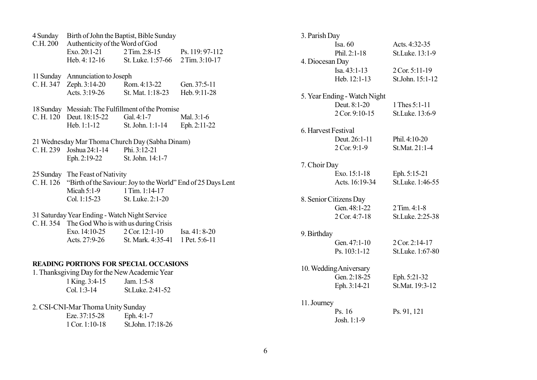| 4 Sunday<br>C.H. 200                          | Birth of John the Baptist, Bible Sunday<br>Authenticity of the Word of God |                                               |                                                                        |
|-----------------------------------------------|----------------------------------------------------------------------------|-----------------------------------------------|------------------------------------------------------------------------|
|                                               | Exo. 20:1-21                                                               | 2 Tim. 2:8-15                                 | Ps. 119: 97-112                                                        |
|                                               | Heb. 4: 12-16                                                              | St. Luke. 1:57-66 2 Tim. 3:10-17              |                                                                        |
|                                               |                                                                            |                                               |                                                                        |
|                                               | 11 Sunday Annunciation to Joseph                                           |                                               |                                                                        |
|                                               | C. H. 347 Zeph. 3:14-20 Rom. 4:13-22                                       |                                               | Gen. 37:5-11                                                           |
|                                               | Acts. 3:19-26                                                              | St. Mat. 1:18-23                              | Heb. 9:11-28                                                           |
|                                               |                                                                            |                                               |                                                                        |
|                                               | 18 Sunday Messiah: The Fulfillment of the Promise                          |                                               |                                                                        |
|                                               | C. H. 120 Deut. 18:15-22 Gal. 4:1-7                                        |                                               | Mal. 3:1-6                                                             |
|                                               | Heb. 1:1-12                                                                | St. John. 1:1-14                              | Eph. 2:11-22                                                           |
|                                               | 21 Wednesday Mar Thoma Church Day (Sabha Dinam)                            |                                               |                                                                        |
|                                               | C. H. 239 Joshua 24:1-14                                                   | Phi. 3:12-21                                  |                                                                        |
|                                               | Eph. 2:19-22                                                               | St. John. 14:1-7                              |                                                                        |
|                                               |                                                                            |                                               |                                                                        |
|                                               | 25 Sunday The Feast of Nativity                                            |                                               |                                                                        |
|                                               |                                                                            |                                               | C. H. 126 "Birth of the Saviour: Joy to the World" End of 25 Days Lent |
|                                               | Micah $5:1-9$                                                              | 1 Tim. 1:14-17                                |                                                                        |
|                                               | $Col. 1:15-23$                                                             | St. Luke. 2:1-20                              |                                                                        |
| 31 Saturday Year Ending - Watch Night Service |                                                                            |                                               |                                                                        |
|                                               | C. H. 354 The God Who is with us during Crisis                             |                                               |                                                                        |
|                                               | Exo. $14:10-25$ 2 Cor. $12:1-10$                                           |                                               | Isa. 41: 8-20                                                          |
|                                               |                                                                            | Acts. 27:9-26 St. Mark. 4:35-41 1 Pet. 5:6-11 |                                                                        |
|                                               |                                                                            |                                               |                                                                        |
|                                               |                                                                            |                                               |                                                                        |
|                                               | <b>READING PORTIONS FOR SPECIAL OCCASIONS</b>                              |                                               |                                                                        |
|                                               | 1. Thanksgiving Day for the New Academic Year                              |                                               |                                                                        |
|                                               | 1 King. 3:4-15                                                             | Jam. 1:5-8                                    |                                                                        |
|                                               | $Col. 1:3-14$                                                              | St.Luke. 2:41-52                              |                                                                        |
|                                               | 2. CSI-CNI-Mar Thoma Unity Sunday                                          |                                               |                                                                        |
|                                               | Eze. 37:15-28                                                              | Eph. 4:1-7                                    |                                                                        |
|                                               | 1 Cor. 1:10-18                                                             | St.John. 17:18-26                             |                                                                        |
|                                               |                                                                            |                                               |                                                                        |

| 3. Parish Day       |                              |                  |  |
|---------------------|------------------------------|------------------|--|
|                     | Isa. 60                      | Acts. 4:32-35    |  |
|                     | Phil. 2:1-18                 | St.Luke. 13:1-9  |  |
| 4. Diocesan Day     |                              |                  |  |
|                     | $Isa. 43:1-13$               | 2 Cor. 5:11-19   |  |
|                     | Heb. 12:1-13                 | St.John. 15:1-12 |  |
|                     |                              |                  |  |
|                     | 5. Year Ending - Watch Night |                  |  |
|                     | Deut. 8:1-20                 | 1 Thes 5:1-11    |  |
|                     | 2 Cor. 9:10-15               | St.Luke. 13:6-9  |  |
| 6. Harvest Festival |                              |                  |  |
|                     | Deut. 26:1-11                | Phil. 4:10-20    |  |
|                     | $2$ Cor. 9:1-9               | St.Mat. 21:1-4   |  |
|                     |                              |                  |  |
| 7. Choir Day        |                              |                  |  |
|                     | Exo. 15:1-18                 | Eph. 5:15-21     |  |
|                     | Acts. 16:19-34               | St.Luke. 1:46-55 |  |
|                     |                              |                  |  |
|                     | 8. Senior Citizens Day       |                  |  |
|                     | Gen. 48:1-22                 | $2$ Tim. 4:1-8   |  |
|                     | $2$ Cor. 4:7-18              | St.Luke. 2:25-38 |  |
| 9. Birthday         |                              |                  |  |
|                     | Gen. 47:1-10                 | 2 Cor. 2:14-17   |  |
|                     | $Ps. 103:1-12$               | St.Luke. 1:67-80 |  |
|                     |                              |                  |  |
|                     | 10. Wedding Aniversary       |                  |  |
|                     | Gen. 2:18-25                 | Eph. 5:21-32     |  |
|                     | Eph. 3:14-21                 | St.Mat. 19:3-12  |  |
|                     |                              |                  |  |
| 11. Journey         |                              |                  |  |
|                     | Ps. 16                       | Ps. 91, 121      |  |
|                     | Josh. 1:1-9                  |                  |  |